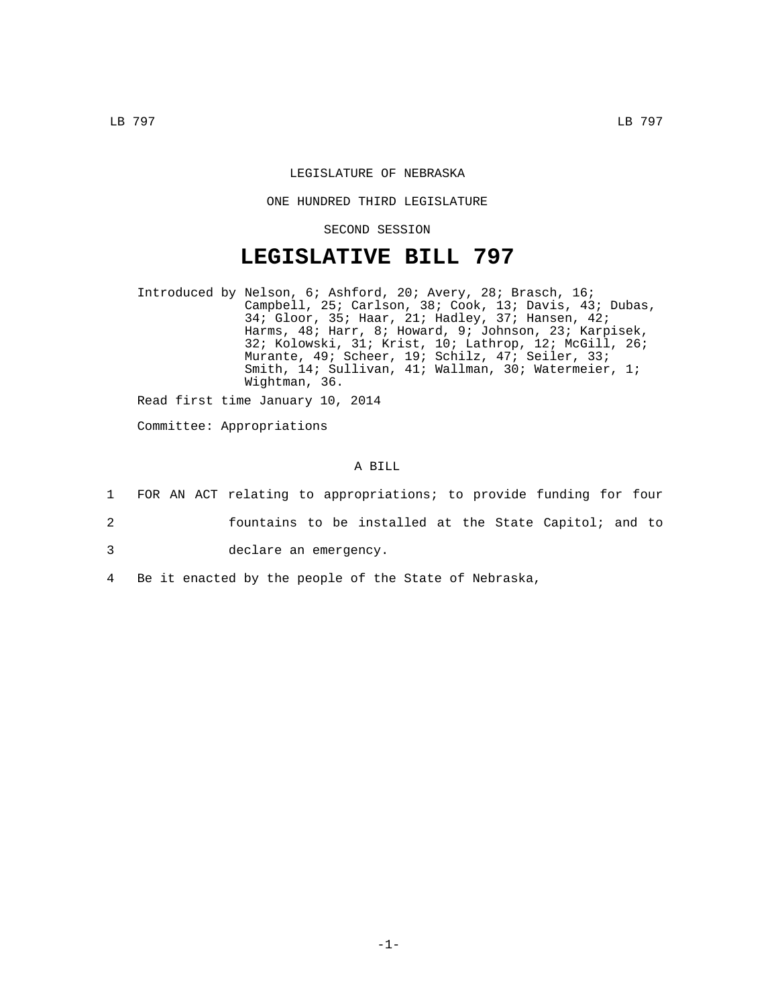## LEGISLATURE OF NEBRASKA

## ONE HUNDRED THIRD LEGISLATURE

SECOND SESSION

## **LEGISLATIVE BILL 797**

Introduced by Nelson, 6; Ashford, 20; Avery, 28; Brasch, 16; Campbell, 25; Carlson, 38; Cook, 13; Davis, 43; Dubas, 34; Gloor, 35; Haar, 21; Hadley, 37; Hansen, 42; Harms, 48; Harr, 8; Howard, 9; Johnson, 23; Karpisek, 32; Kolowski, 31; Krist, 10; Lathrop, 12; McGill, 26; Murante, 49; Scheer, 19; Schilz, 47; Seiler, 33; Smith, 14; Sullivan, 41; Wallman, 30; Watermeier, 1; Wightman, 36.

Read first time January 10, 2014

Committee: Appropriations

## A BILL

- 1 FOR AN ACT relating to appropriations; to provide funding for four
- 2 fountains to be installed at the State Capitol; and to
- 3 declare an emergency.
- 4 Be it enacted by the people of the State of Nebraska,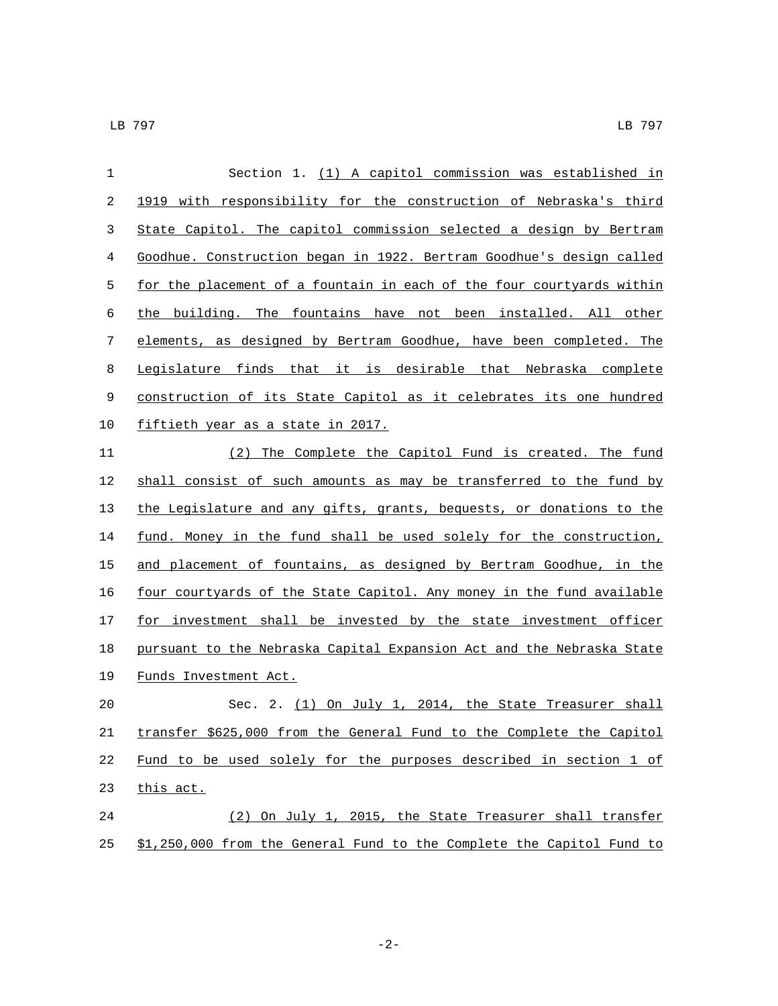| 1  | Section 1. (1) A capitol commission was established in                |
|----|-----------------------------------------------------------------------|
| 2  | 1919 with responsibility for the construction of Nebraska's third     |
| 3  | State Capitol. The capitol commission selected a design by Bertram    |
| 4  | Goodhue. Construction began in 1922. Bertram Goodhue's design called  |
| 5  | for the placement of a fountain in each of the four courtyards within |
| 6  | the building. The fountains have not been installed. All other        |
| 7  | elements, as designed by Bertram Goodhue, have been completed. The    |
| 8  | Legislature finds that it is desirable that Nebraska complete         |
| 9  | construction of its State Capitol as it celebrates its one hundred    |
| 10 | <u>fiftieth year as a state in 2017.</u>                              |
| 11 | The Complete the Capitol Fund is created. The fund<br>(2)             |
| 12 | shall consist of such amounts as may be transferred to the fund by    |
| 13 | the Legislature and any gifts, grants, bequests, or donations to the  |
| 14 | fund. Money in the fund shall be used solely for the construction,    |
| 15 | and placement of fountains, as designed by Bertram Goodhue, in the    |
| 16 | four courtyards of the State Capitol. Any money in the fund available |
| 17 | for investment shall be invested by the state investment officer      |
| 18 | pursuant to the Nebraska Capital Expansion Act and the Nebraska State |
| 19 | Funds Investment Act.                                                 |
| 20 | Sec. 2. (1) On July 1, 2014, the State Treasurer shall                |
| 21 | transfer \$625,000 from the General Fund to the Complete the Capitol  |
| 22 | Fund to be used solely for the purposes described in section 1 of     |
| 23 | this act.                                                             |
| 24 | (2) On July 1, 2015, the State Treasurer shall transfer               |

\$1,250,000 from the General Fund to the Complete the Capitol Fund to